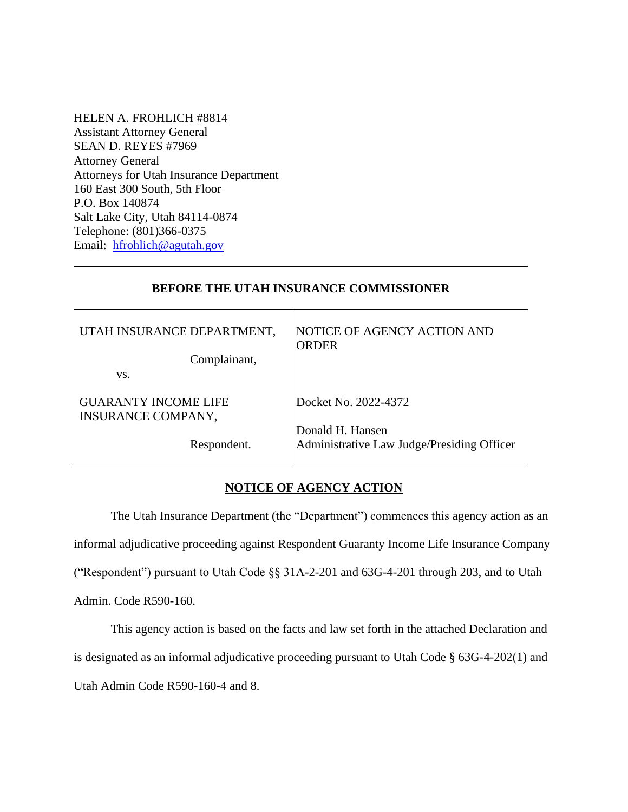HELEN A. FROHLICH #8814 Assistant Attorney General SEAN D. REYES #7969 Attorney General Attorneys for Utah Insurance Department 160 East 300 South, 5th Floor P.O. Box 140874 Salt Lake City, Utah 84114-0874 Telephone: (801)366-0375 Email: [hfrohlich@agutah.gov](mailto:hfrohlich@agutah.gov)

## **BEFORE THE UTAH INSURANCE COMMISSIONER**

| UTAH INSURANCE DEPARTMENT,<br>Complainant,               | NOTICE OF AGENCY ACTION AND<br><b>ORDER</b>                    |
|----------------------------------------------------------|----------------------------------------------------------------|
| VS.                                                      |                                                                |
| <b>GUARANTY INCOME LIFE</b><br><b>INSURANCE COMPANY,</b> | Docket No. 2022-4372                                           |
| Respondent.                                              | Donald H. Hansen<br>Administrative Law Judge/Presiding Officer |

### **NOTICE OF AGENCY ACTION**

The Utah Insurance Department (the "Department") commences this agency action as an informal adjudicative proceeding against Respondent Guaranty Income Life Insurance Company ("Respondent") pursuant to Utah Code §§ 31A-2-201 and 63G-4-201 through 203, and to Utah Admin. Code R590-160.

This agency action is based on the facts and law set forth in the attached Declaration and is designated as an informal adjudicative proceeding pursuant to Utah Code § 63G-4-202(1) and Utah Admin Code R590-160-4 and 8.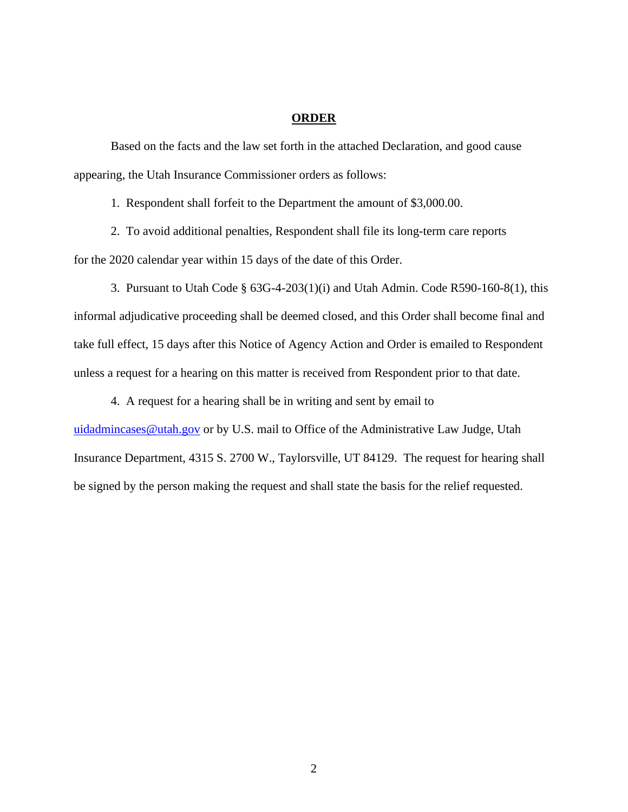## **ORDER**

Based on the facts and the law set forth in the attached Declaration, and good cause appearing, the Utah Insurance Commissioner orders as follows:

1. Respondent shall forfeit to the Department the amount of \$3,000.00.

2. To avoid additional penalties, Respondent shall file its long-term care reports for the 2020 calendar year within 15 days of the date of this Order.

3. Pursuant to Utah Code § 63G-4-203(1)(i) and Utah Admin. Code R590-160-8(1), this informal adjudicative proceeding shall be deemed closed, and this Order shall become final and take full effect, 15 days after this Notice of Agency Action and Order is emailed to Respondent unless a request for a hearing on this matter is received from Respondent prior to that date.

4. A request for a hearing shall be in writing and sent by email to [uidadmincases@utah.gov](mailto:uidadmincases@utah.gov) or by U.S. mail to Office of the Administrative Law Judge, Utah

be signed by the person making the request and shall state the basis for the relief requested.

Insurance Department, 4315 S. 2700 W., Taylorsville, UT 84129. The request for hearing shall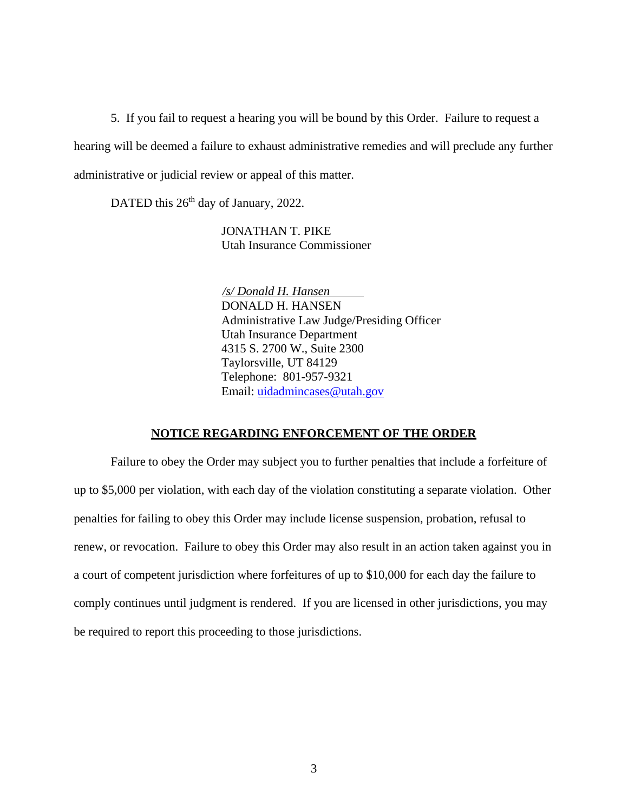5. If you fail to request a hearing you will be bound by this Order. Failure to request a hearing will be deemed a failure to exhaust administrative remedies and will preclude any further administrative or judicial review or appeal of this matter.

DATED this 26<sup>th</sup> day of January, 2022.

JONATHAN T. PIKE Utah Insurance Commissioner

 */s/ Donald H. Hansen* DONALD H. HANSEN Administrative Law Judge/Presiding Officer Utah Insurance Department 4315 S. 2700 W., Suite 2300 Taylorsville, UT 84129 Telephone: 801-957-9321 Email: [uidadmincases@utah.gov](mailto:uidadmincases@utah.gov)

#### **NOTICE REGARDING ENFORCEMENT OF THE ORDER**

Failure to obey the Order may subject you to further penalties that include a forfeiture of up to \$5,000 per violation, with each day of the violation constituting a separate violation. Other penalties for failing to obey this Order may include license suspension, probation, refusal to renew, or revocation. Failure to obey this Order may also result in an action taken against you in a court of competent jurisdiction where forfeitures of up to \$10,000 for each day the failure to comply continues until judgment is rendered. If you are licensed in other jurisdictions, you may be required to report this proceeding to those jurisdictions.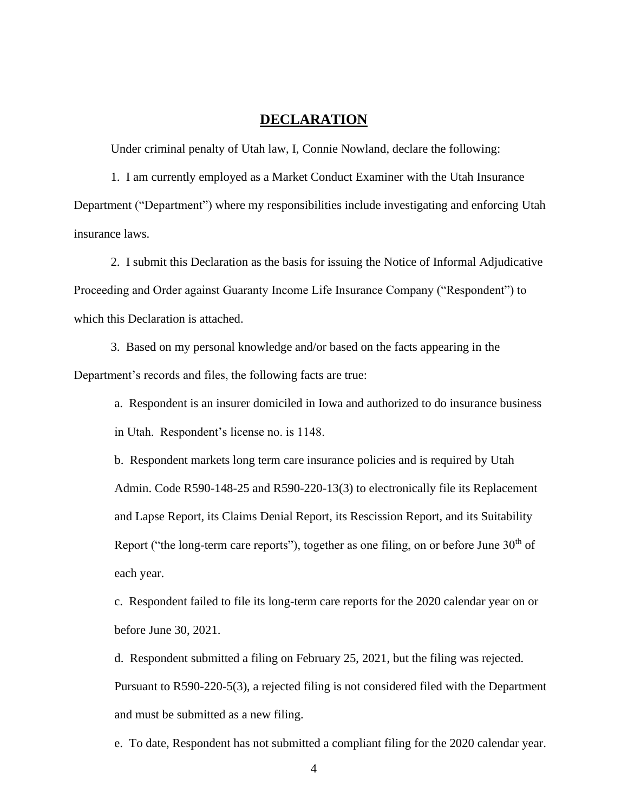## **DECLARATION**

Under criminal penalty of Utah law, I, Connie Nowland, declare the following:

1. I am currently employed as a Market Conduct Examiner with the Utah Insurance Department ("Department") where my responsibilities include investigating and enforcing Utah insurance laws.

2. I submit this Declaration as the basis for issuing the Notice of Informal Adjudicative Proceeding and Order against Guaranty Income Life Insurance Company ("Respondent") to which this Declaration is attached.

3. Based on my personal knowledge and/or based on the facts appearing in the Department's records and files, the following facts are true:

a. Respondent is an insurer domiciled in Iowa and authorized to do insurance business in Utah. Respondent's license no. is 1148.

b. Respondent markets long term care insurance policies and is required by Utah Admin. Code R590-148-25 and R590-220-13(3) to electronically file its Replacement and Lapse Report, its Claims Denial Report, its Rescission Report, and its Suitability Report ("the long-term care reports"), together as one filing, on or before June  $30<sup>th</sup>$  of each year.

c. Respondent failed to file its long-term care reports for the 2020 calendar year on or before June 30, 2021.

d. Respondent submitted a filing on February 25, 2021, but the filing was rejected. Pursuant to R590-220-5(3), a rejected filing is not considered filed with the Department and must be submitted as a new filing.

e. To date, Respondent has not submitted a compliant filing for the 2020 calendar year.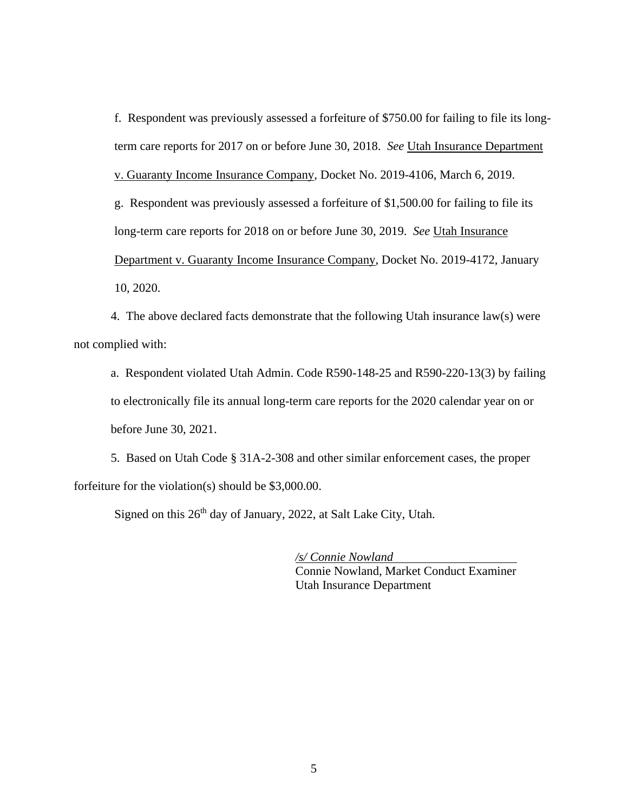f. Respondent was previously assessed a forfeiture of \$750.00 for failing to file its longterm care reports for 2017 on or before June 30, 2018. *See* Utah Insurance Department v. Guaranty Income Insurance Company, Docket No. 2019-4106, March 6, 2019. g. Respondent was previously assessed a forfeiture of \$1,500.00 for failing to file its long-term care reports for 2018 on or before June 30, 2019. *See* Utah Insurance Department v. Guaranty Income Insurance Company, Docket No. 2019-4172, January 10, 2020.

4. The above declared facts demonstrate that the following Utah insurance law(s) were not complied with:

a. Respondent violated Utah Admin. Code R590-148-25 and R590-220-13(3) by failing to electronically file its annual long-term care reports for the 2020 calendar year on or before June 30, 2021.

5. Based on Utah Code § 31A-2-308 and other similar enforcement cases, the proper forfeiture for the violation(s) should be \$3,000.00.

Signed on this  $26<sup>th</sup>$  day of January, 2022, at Salt Lake City, Utah.

*/s/ Connie Nowland* Connie Nowland, Market Conduct Examiner Utah Insurance Department